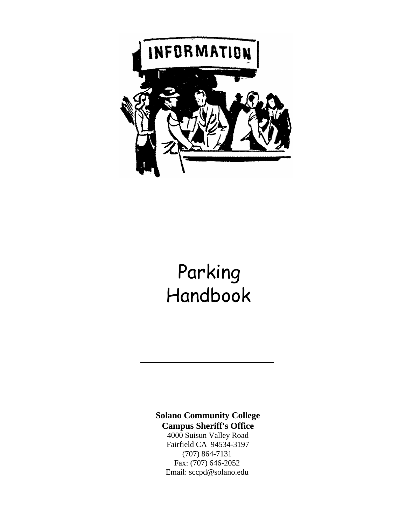

# Parking Handbook

**Solano Community College Campus Sheriff's Office**  4000 Suisun Valley Road

Fairfield CA 94534-3197 (707) 864-7131 Fax: (707) 646-2052 Email: [sccpd@solano.edu](mailto:sccpd@solano.edu)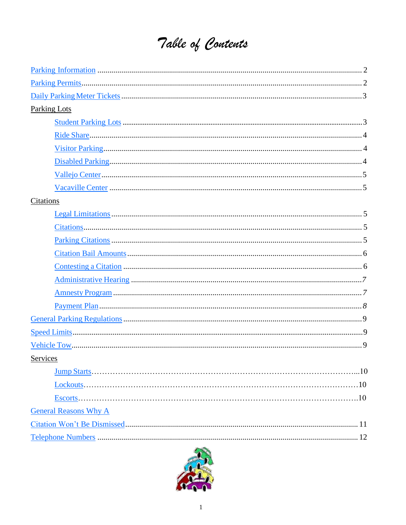# Table of Contents

| <b>Parking Lots</b>          |
|------------------------------|
|                              |
|                              |
|                              |
|                              |
|                              |
|                              |
| Citations                    |
|                              |
|                              |
|                              |
|                              |
|                              |
|                              |
|                              |
|                              |
|                              |
|                              |
|                              |
| Services                     |
|                              |
|                              |
|                              |
| <b>General Reasons Why A</b> |
|                              |
|                              |

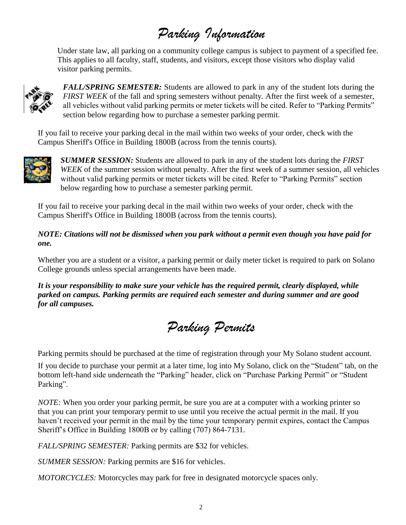# *Parking Information*

<span id="page-2-0"></span>Under state law, all parking on a community college campus is subject to payment of a specified fee. This applies to all faculty, staff, students, and visitors, except those visitors who display valid visitor parking permits.



*FALL/SPRING SEMESTER:* Students are allowed to park in any of the student lots during the *FIRST WEEK* of the fall and spring semesters without penalty. After the first week of a semester, all vehicles without valid parking permits or meter tickets will be cited. Refer to "Parking Permits" section below regarding how to purchase a semester parking permit.

If you fail to receive your parking decal in the mail within two weeks of your order, check with the Campus Sheriff's Office in Building 1800B (across from the tennis courts).



*SUMMER SESSION:* Students are allowed to park in any of the student lots during the *FIRST WEEK* of the summer session without penalty. After the first week of a summer session, all vehicles without valid parking permits or meter tickets will be cited. Refer to "Parking Permits" section below regarding how to purchase a semester parking permit.

If you fail to receive your parking decal in the mail within two weeks of your order, check with the Campus Sheriff's Office in Building 1800B (across from the tennis courts).

#### *NOTE: Citations will not be dismissed when you park without a permit even though you have paid for one.*

Whether you are a student or a visitor, a parking permit or daily meter ticket is required to park on Solano College grounds unless special arrangements have been made.

*It is your responsibility to make sure your vehicle has the required permit, clearly displayed, while parked on campus. Parking permits are required each semester and during summer and are good for all campuses.*

*Parking Permits*

Parking permits should be purchased at the time of registration through your My Solano student account.

If you decide to purchase your permit at a later time, log into My Solano, click on the "Student" tab, on the bottom left-hand side underneath the "Parking" header, click on "Purchase Parking Permit" or "Student Parking".

*NOTE:* When you order your parking permit, be sure you are at a computer with a working printer so that you can print your temporary permit to use until you receive the actual permit in the mail. If you haven't received your permit in the mail by the time your temporary permit expires, contact the Campus Sheriff's Office in Building 1800B or by calling (707) 864-7131.

*FALL/SPRING SEMESTER:* Parking permits are \$32 for vehicles.

*SUMMER SESSION:* Parking permits are \$16 for vehicles.

*MOTORCYCLES:* Motorcycles may park for free in designated motorcycle spaces only.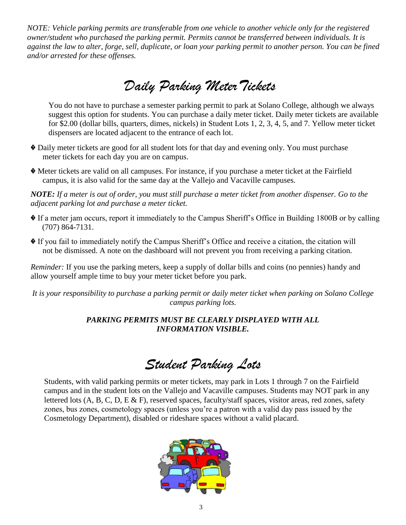*NOTE: Vehicle parking permits are transferable from one vehicle to another vehicle only for the registered owner/student who purchased the parking permit. Permits cannot be transferred between individuals. It is against the law to alter, forge, sell, duplicate, or loan your parking permit to another person. You can be fined and/or arrested for these offenses.*

### <span id="page-3-0"></span>*Daily Parking MeterTickets*

You do not have to purchase a semester parking permit to park at Solano College, although we always suggest this option for students. You can purchase a daily meter ticket. Daily meter tickets are available for \$2.00 (dollar bills, quarters, dimes, nickels) in Student Lots 1, 2, 3, 4, 5, and 7. Yellow meter ticket dispensers are located adjacent to the entrance of each lot.

- � Daily meter tickets are good for all student lots for that day and evening only. You must purchase meter tickets for each day you are on campus.
- � Meter tickets are valid on all campuses. For instance, if you purchase a meter ticket at the Fairfield campus, it is also valid for the same day at the Vallejo and Vacaville campuses.

*NOTE: If a meter is out of order, you must still purchase a meter ticket from another dispenser. Go to the adjacent parking lot and purchase a meter ticket.*

- � If a meter jam occurs, report it immediately to the Campus Sheriff's Office in Building 1800B or by calling (707) 864-7131.
- � If you fail to immediately notify the Campus Sheriff's Office and receive a citation, the citation will not be dismissed. A note on the dashboard will not prevent you from receiving a parking citation.

*Reminder:* If you use the parking meters, keep a supply of dollar bills and coins (no pennies) handy and allow yourself ample time to buy your meter ticket before you park.

*It is your responsibility to purchase a parking permit or daily meter ticket when parking on Solano College campus parking lots.*

#### *PARKING PERMITS MUST BE CLEARLY DISPLAYED WITH ALL INFORMATION VISIBLE.*

<span id="page-3-1"></span>*Student Parking Lots*

Students, with valid parking permits or meter tickets, may park in Lots 1 through 7 on the Fairfield campus and in the student lots on the Vallejo and Vacaville campuses. Students may NOT park in any lettered lots (A, B, C, D, E & F), reserved spaces, faculty/staff spaces, visitor areas, red zones, safety zones, bus zones, cosmetology spaces (unless you're a patron with a valid day pass issued by the Cosmetology Department), disabled or rideshare spaces without a valid placard.

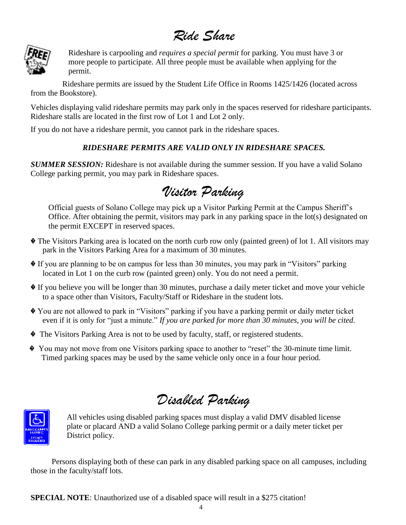### <span id="page-4-0"></span>*Ride Share*



Rideshare is carpooling and *requires a special permit* for parking. You must have 3 or more people to participate. All three people must be available when applying for the permit.

 Rideshare permits are issued by the Student Life Office in Rooms 1425/1426 (located across from the Bookstore).

Vehicles displaying valid rideshare permits may park only in the spaces reserved for rideshare participants. Rideshare stalls are located in the first row of Lot 1 and Lot 2 only.

If you do not have a rideshare permit, you cannot park in the rideshare spaces.

#### *RIDESHARE PERMITS ARE VALID ONLY IN RIDESHARE SPACES.*

**SUMMER SESSION:** Rideshare is not available during the summer session. If you have a valid Solano College parking permit, you may park in Rideshare spaces.

### <span id="page-4-1"></span>*Visitor Parking*

Official guests of Solano College may pick up a Visitor Parking Permit at the Campus Sheriff's Office. After obtaining the permit, visitors may park in any parking space in the lot(s) designated on the permit EXCEPT in reserved spaces.

- � The Visitors Parking area is located on the north curb row only (painted green) of lot 1. All visitors may park in the Visitors Parking Area for a maximum of 30 minutes.
- � If you are planning to be on campus for less than 30 minutes, you may park in "Visitors" parking located in Lot 1 on the curb row (painted green) only. You do not need a permit.
- � If you believe you will be longer than 30 minutes, purchase a daily meter ticket and move your vehicle to a space other than Visitors, Faculty/Staff or Rideshare in the student lots.
- � You are not allowed to park in "Visitors" parking if you have a parking permit or daily meter ticket even if it is only for "just a minute." *If you are parked for more than 30 minutes, you will be cited.*
- � The Visitors Parking Area is not to be used by faculty, staff, or registered students.
- � You may not move from one Visitors parking space to another to "reset" the 30-minute time limit. Timed parking spaces may be used by the same vehicle only once in a four hour period.

<span id="page-4-2"></span>*Disabled Parking*



All vehicles using disabled parking spaces must display a valid DMV disabled license plate or placard AND a valid Solano College parking permit or a daily meter ticket per District policy.

Persons displaying both of these can park in any disabled parking space on all campuses, including those in the faculty/staff lots.

**SPECIAL NOTE:** Unauthorized use of a disabled space will result in a \$275 citation!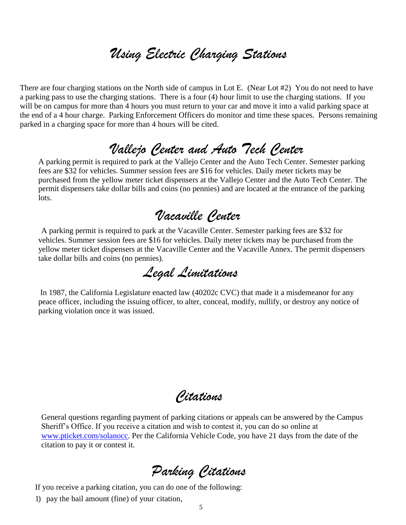### *Using Electric Charging Stations*

There are four charging stations on the North side of campus in Lot E. (Near Lot #2) You do not need to have a parking pass to use the charging stations. There is a four (4) hour limit to use the charging stations. If you will be on campus for more than 4 hours you must return to your car and move it into a valid parking space at the end of a 4 hour charge. Parking Enforcement Officers do monitor and time these spaces. Persons remaining parked in a charging space for more than 4 hours will be cited.

### <span id="page-5-0"></span>*Vallejo Center and Auto Tech Center*

A parking permit is required to park at the Vallejo Center and the Auto Tech Center. Semester parking fees are \$32 for vehicles. Summer session fees are \$16 for vehicles. Daily meter tickets may be purchased from the yellow meter ticket dispensers at the Vallejo Center and the Auto Tech Center. The permit dispensers take dollar bills and coins (no pennies) and are located at the entrance of the parking lots.

### <span id="page-5-1"></span>*Vacaville Center*

A parking permit is required to park at the Vacaville Center. Semester parking fees are \$32 for vehicles. Summer session fees are \$16 for vehicles. Daily meter tickets may be purchased from the yellow meter ticket dispensers at the Vacaville Center and the Vacaville Annex. The permit dispensers take dollar bills and coins (no pennies).

*Legal Limitations*

<span id="page-5-2"></span>In 1987, the California Legislature enacted law (40202c CVC) that made it a misdemeanor for any peace officer, including the issuing officer, to alter, conceal, modify, nullify, or destroy any notice of parking violation once it was issued.

*Citations*

General questions regarding payment of parking citations or appeals can be answered by the Campus Sheriff's Office. If you receive a citation and wish to contest it, you can do so online at [www.pticket.com/solanocc.](http://www.pticket.com/solanocc) Per the California Vehicle Code, you have 21 days from the date of the citation to pay it or contest it.

*Parking Citations*

<span id="page-5-3"></span>If you receive a parking citation, you can do one of the following:

1) pay the bail amount (fine) of your citation,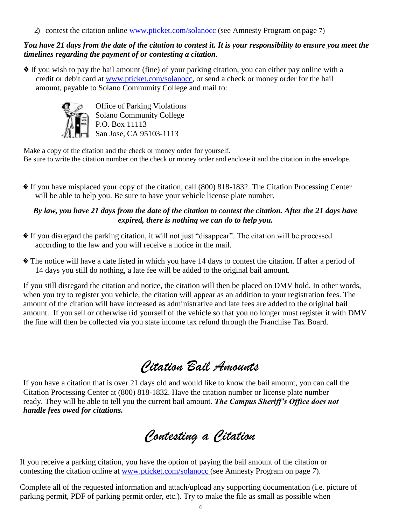2) contest the citation online [www.pticket.com/solanocc \(s](http://www.pticket.com/solanocc)ee Amnesty Program on page 7)

#### *You have 21 days from the date of the citation to contest it. It is your responsibility to ensure you meet the timelines regarding the payment of or contesting a citation.*

� If you wish to pay the bail amount (fine) of your parking citation, you can either pay online with a credit or debit card at [www.pticket.com/solanocc,](http://www.pticket.com/solanocc) or send a check or money order for the bail amount, payable to Solano Community College and mail to:



Office of Parking Violations Solano Community College P.O. Box 11113 San Jose, CA 95103-1113

Make a copy of the citation and the check or money order for yourself. Be sure to write the citation number on the check or money order and enclose it and the citation in the envelope.

� If you have misplaced your copy of the citation, call (800) 818-1832. The Citation Processing Center will be able to help you. Be sure to have your vehicle license plate number.

#### *By law, you have 21 days from the date of the citation to contest the citation. After the 21 days have expired, there is nothing we can do to help you.*

- � If you disregard the parking citation, it will not just "disappear". The citation will be processed according to the law and you will receive a notice in the mail.
- � The notice will have a date listed in which you have 14 days to contest the citation. If after a period of 14 days you still do nothing, a late fee will be added to the original bail amount.

If you still disregard the citation and notice, the citation will then be placed on DMV hold. In other words, when you try to register you vehicle, the citation will appear as an addition to your registration fees. The amount of the citation will have increased as administrative and late fees are added to the original bail amount. If you sell or otherwise rid yourself of the vehicle so that you no longer must register it with DMV the fine will then be collected via you state income tax refund through the Franchise Tax Board.

### *Citation Bail Amounts*

<span id="page-6-0"></span>If you have a citation that is over 21 days old and would like to know the bail amount, you can call the Citation Processing Center at (800) 818-1832. Have the citation number or license plate number ready. They will be able to tell you the current bail amount. *The Campus Sheriff's Office does not handle fees owed for citations.*

<span id="page-6-1"></span>*Contesting a Citation*

If you receive a parking citation, you have the option of paying the bail amount of the citation or contesting the citation online at [www.pticket.com/solanocc \(s](http://www.pticket.com/solanocc)ee Amnesty Program on page *7*).

Complete all of the requested information and attach/upload any supporting documentation (i.e. picture of parking permit, PDF of parking permit order, etc.). Try to make the file as small as possible when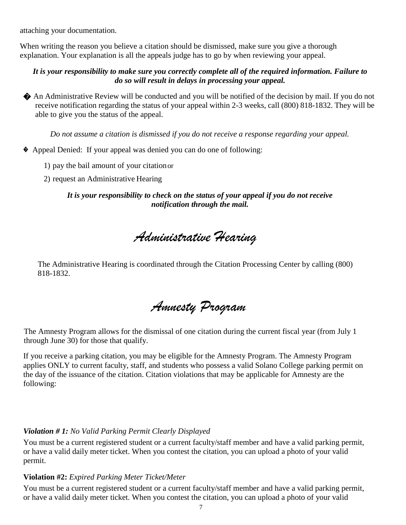attaching your documentation.

When writing the reason you believe a citation should be dismissed, make sure you give a thorough explanation. Your explanation is all the appeals judge has to go by when reviewing your appeal.

#### *It is your responsibility to make sure you correctly complete all of the required information. Failure to do so will result in delays in processing your appeal.*

� An Administrative Review will be conducted and you will be notified of the decision by mail. If you do not receive notification regarding the status of your appeal within 2-3 weeks, call (800) 818-1832. They will be able to give you the status of the appeal.

*Do not assume a citation is dismissed if you do not receive a response regarding your appeal.*

- � Appeal Denied: If your appeal was denied you can do one of following:
	- 1) pay the bail amount of your citationor
	- 2) request an Administrative Hearing

*It is your responsibility to check on the status of your appeal if you do not receive notification through the mail.*

<span id="page-7-0"></span>*Administrative Hearing*

The Administrative Hearing is coordinated through the Citation Processing Center by calling (800) 818-1832.

*Amnesty Program*

<span id="page-7-1"></span> The Amnesty Program allows for the dismissal of one citation during the current fiscal year (from July 1 through June 30) for those that qualify.

If you receive a parking citation, you may be eligible for the Amnesty Program. The Amnesty Program applies ONLY to current faculty, staff, and students who possess a valid Solano College parking permit on the day of the issuance of the citation. Citation violations that may be applicable for Amnesty are the following:

#### *Violation # 1: No Valid Parking Permit Clearly Displayed*

You must be a current registered student or a current faculty/staff member and have a valid parking permit, or have a valid daily meter ticket. When you contest the citation, you can upload a photo of your valid permit.

#### **Violation #2:** *Expired Parking Meter Ticket/Meter*

You must be a current registered student or a current faculty/staff member and have a valid parking permit, or have a valid daily meter ticket. When you contest the citation, you can upload a photo of your valid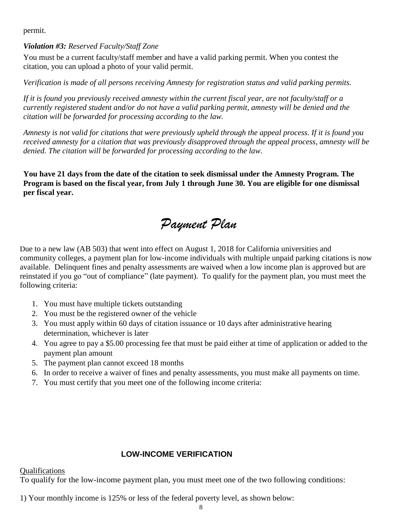permit.

#### *Violation #3: Reserved Faculty/Staff Zone*

You must be a current faculty/staff member and have a valid parking permit. When you contest the citation, you can upload a photo of your valid permit.

*Verification is made of all persons receiving Amnesty for registration status and valid parking permits.*

*If it is found you previously received amnesty within the current fiscal year, are not faculty/staff or a currently registered student and/or do not have a valid parking permit, amnesty will be denied and the citation will be forwarded for processing according to the law.*

*Amnesty is not valid for citations that were previously upheld through the appeal process. If it is found you received amnesty for a citation that was previously disapproved through the appeal process, amnesty will be denied. The citation will be forwarded for processing according to the law.*

**You have 21 days from the date of the citation to seek dismissal under the Amnesty Program. The Program is based on the fiscal year, from July 1 through June 30. You are eligible for one dismissal per fiscal year.**

### *Payment Plan*

Due to a new law (AB 503) that went into effect on August 1, 2018 for California universities and community colleges, a payment plan for low-income individuals with multiple unpaid parking citations is now available. Delinquent fines and penalty assessments are waived when a low income plan is approved but are available. Delinquent fines and penalty assessments are waived when a low income plan is approved but are reinstated if you go "out of compliance" (late payment). To qualify for the payment plan, you must meet the following criteria:

- 1. You must have multiple tickets outstanding
- 2. You must be the registered owner of the vehicle
- 3. You must apply within 60 days of citation issuance or 10 days after administrative hearing determination, whichever is later
- 4. You agree to pay a \$5.00 processing fee that must be paid either at time of application or added to the payment plan amount
- 5. The payment plan cannot exceed 18 months
- 6. In order to receive a waiver of fines and penalty assessments, you must make all payments on time.
- 7. You must certify that you meet one of the following income criteria:

#### **LOW-INCOME VERIFICATION**

Qualifications

To qualify for the low-income payment plan, you must meet one of the two following conditions:

1) Your monthly income is 125% or less of the federal poverty level, as shown below: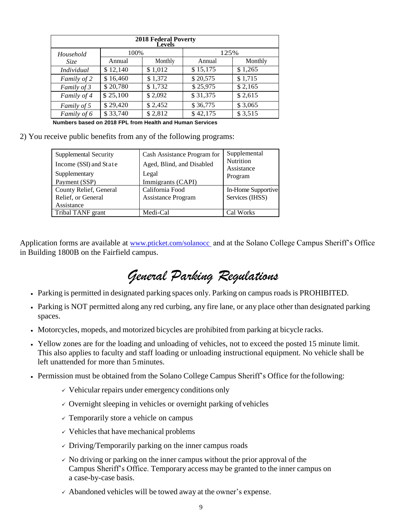| <b>2018 Federal Poverty</b><br>Levels |          |         |          |         |  |
|---------------------------------------|----------|---------|----------|---------|--|
| Household                             | 100%     |         | 125%     |         |  |
| Size                                  | Annual   | Monthly | Annual   | Monthly |  |
| Individual                            | \$12,140 | \$1,012 | \$15,175 | \$1,265 |  |
| Family of 2                           | \$16,460 | \$1,372 | \$20,575 | \$1,715 |  |
| Family of 3                           | \$20,780 | \$1,732 | \$25,975 | \$2,165 |  |
| Family of 4                           | \$25,100 | \$2,092 | \$31,375 | \$2,615 |  |
| Family of 5                           | \$29,420 | \$2,452 | \$36,775 | \$3,065 |  |
| Family of 6                           | \$33,740 | \$2,812 | \$42,175 | \$3,515 |  |

**Numbers based on 2018 FPL from Health and Human Services**

2) You receive public benefits from any of the following programs:

| Supplemental Security  | Cash Assistance Program for | Supplemental          |
|------------------------|-----------------------------|-----------------------|
| Income (SSI) and State | Aged, Blind, and Disabled   | Nutrition             |
| Supplementary          | Legal                       | Assistance<br>Program |
| Payment (SSP)          | Immigrants (CAPI)           |                       |
| County Relief, General | California Food             | In-Home Supportive    |
| Relief, or General     | <b>Assistance Program</b>   | Services (IHSS)       |
| Assistance             |                             |                       |
| Tribal TANF grant      | Medi-Cal                    | Cal Works             |

Application forms are available at [www.pticket.com/solanocc](http://www.pticket.com/solanocc) and at the Solano College Campus Sheriff's Office in Building 1800B on the Fairfield campus.

# <span id="page-9-0"></span>*General Parking Regulations*

- Parking is permitted in designated parking spaces only. Parking on campus roads is PROHIBITED.
- Parking is NOT permitted along any red curbing, any fire lane, or any place other than designated parking spaces.
- Motorcycles, mopeds, and motorized bicycles are prohibited from parking at bicycle racks.
- Yellow zones are for the loading and unloading of vehicles, not to exceed the posted 15 minute limit. This also applies to faculty and staff loading or unloading instructional equipment. No vehicle shall be left unattended for more than 5minutes.
- Permission must be obtained from the Solano College Campus Sheriff's Office for the following:
	- $\checkmark$  Vehicular repairs under emergency conditions only
	- $\checkmark$  Overnight sleeping in vehicles or overnight parking of vehicles
	- $\checkmark$  Temporarily store a vehicle on campus
	- $\checkmark$  Vehicles that have mechanical problems
	- $\checkmark$  Driving/Temporarily parking on the inner campus roads
	- $\sim$  No driving or parking on the inner campus without the prior approval of the Campus Sheriff's Office. Temporary access may be granted to the inner campus on a case-by-case basis.
	- $\checkmark$  Abandoned vehicles will be towed away at the owner's expense.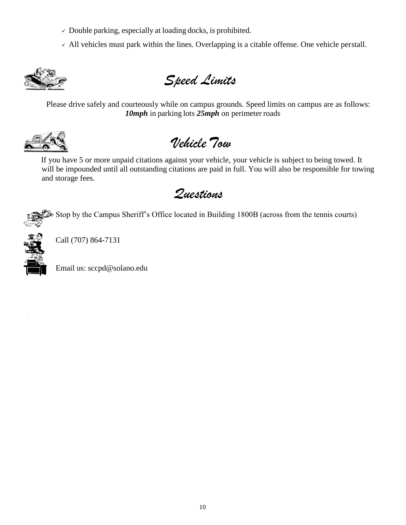- $\checkmark$  Double parking, especially at loading docks, is prohibited.
- $\sim$  All vehicles must park within the lines. Overlapping is a citable offense. One vehicle perstall.



<span id="page-10-0"></span>*Speed Limits*

Please drive safely and courteously while on campus grounds. Speed limits on campus are as follows: *10mph* in parking lots *25mph* on perimeter roads



<span id="page-10-1"></span>*Vehicle Tow*

If you have 5 or more unpaid citations against your vehicle, your vehicle is subject to being towed. It will be impounded until all outstanding citations are paid in full. You will also be responsible for towing and storage fees.

*Questions*



Stop by the Campus Sheriff's Office located in Building 1800B (across from the tennis courts)



Call (707) 864-7131

Email us: [sccpd@solano.edu](mailto:sccpd@solano.cc.ca.us)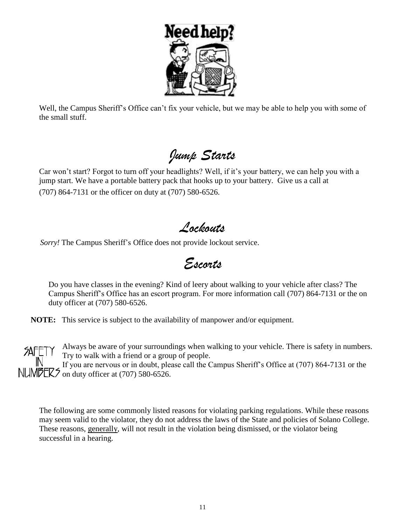

Well, the Campus Sheriff's Office can't fix your vehicle, but we may be able to help you with some of the small stuff.

<span id="page-11-0"></span>*Jump Starts*

Car won't start? Forgot to turn off your headlights? Well, if it's your battery, we can help you with a jump start. We have a portable battery pack that hooks up to your battery. Give us a call at (707) 864-7131 or the officer on duty at (707) 580-6526.

*Lockouts*

<span id="page-11-2"></span><span id="page-11-1"></span> *Sorry!* The Campus Sheriff's Office does not provide lockout service.

*Escorts*

Do you have classes in the evening? Kind of leery about walking to your vehicle after class? The Campus Sheriff's Office has an escort program. For more information call (707) 864-7131 or the on duty officer at (707) 580-6526.

**NOTE:** This service is subject to the availability of manpower and/or equipment.

Always be aware of your surroundings when walking to your vehicle. There is safety in numbers. **SAFF** Try to walk with a friend or a group of people. If you are nervous or in doubt, please call the Campus Sheriff's Office at (707) 864-7131 or the NUMPER5 on duty officer at (707) 580-6526.

The following are some commonly listed reasons for violating parking regulations. While these reasons may seem valid to the violator, they do not address the laws of the State and policies of Solano College. These reasons, generally, will not result in the violation being dismissed, or the violator being successful in a hearing.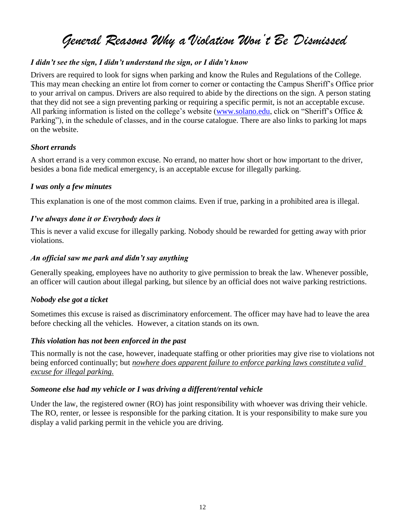### *General Reasons Why a Violation Won't Be Dismissed*

#### *I didn't see the sign, I didn't understand the sign, or I didn't know*

Drivers are required to look for signs when parking and know the Rules and Regulations of the College. This may mean checking an entire lot from corner to corner or contacting the Campus Sheriff's Office prior to your arrival on campus. Drivers are also required to abide by the directions on the sign. A person stating that they did not see a sign preventing parking or requiring a specific permit, is not an acceptable excuse. All parking information is listed on the college's website [\(www.solano.edu,](http://www.solano.edu/) click on "Sheriff's Office & Parking"), in the schedule of classes, and in the course catalogue. There are also links to parking lot maps on the website.

#### *Short errands*

A short errand is a very common excuse. No errand, no matter how short or how important to the driver, besides a bona fide medical emergency, is an acceptable excuse for illegally parking.

#### *I was only a few minutes*

This explanation is one of the most common claims. Even if true, parking in a prohibited area is illegal.

#### *I've always done it or Everybody does it*

This is never a valid excuse for illegally parking. Nobody should be rewarded for getting away with prior violations.

#### *An official saw me park and didn't say anything*

Generally speaking, employees have no authority to give permission to break the law. Whenever possible, an officer will caution about illegal parking, but silence by an official does not waive parking restrictions.

#### *Nobody else got a ticket*

Sometimes this excuse is raised as discriminatory enforcement. The officer may have had to leave the area before checking all the vehicles. However, a citation stands on its own.

#### *This violation has not been enforced in the past*

This normally is not the case, however, inadequate staffing or other priorities may give rise to violations not being enforced continually; but *nowhere does apparent failure to enforce parking laws constitutea valid excuse for illegal parking.*

#### *Someone else had my vehicle or I was driving a different/rental vehicle*

Under the law, the registered owner (RO) has joint responsibility with whoever was driving their vehicle. The RO, renter, or lessee is responsible for the parking citation. It is your responsibility to make sure you display a valid parking permit in the vehicle you are driving.